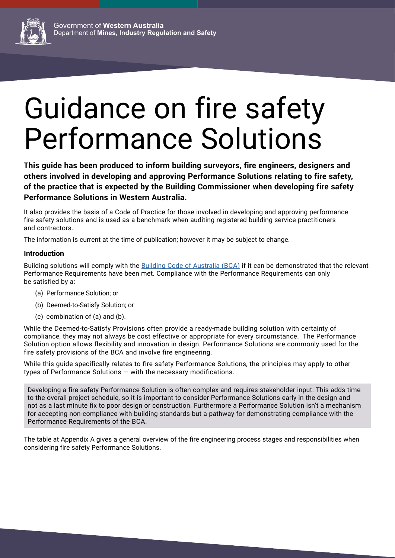

# Guidance on fire safety Performance Solutions

**This guide has been produced to inform building surveyors, fire engineers, designers and others involved in developing and approving Performance Solutions relating to fire safety, of the practice that is expected by the Building Commissioner when developing fire safety Performance Solutions in Western Australia.**

It also provides the basis of a Code of Practice for those involved in developing and approving performance fire safety solutions and is used as a benchmark when auditing registered building service practitioners and contractors.

The information is current at the time of publication; however it may be subject to change.

#### **Introduction**

Building solutions will comply with the [Building Code of Australia \(BCA\)](https://www.abcb.gov.au/Resources/NCC) if it can be demonstrated that the relevant Performance Requirements have been met. Compliance with the Performance Requirements can only be satisfied by a:

- (a) Performance Solution; or
- (b) Deemed-to-Satisfy Solution; or
- (c) combination of (a) and (b).

While the Deemed-to-Satisfy Provisions often provide a ready-made building solution with certainty of compliance, they may not always be cost effective or appropriate for every circumstance. The Performance Solution option allows flexibility and innovation in design. Performance Solutions are commonly used for the fire safety provisions of the BCA and involve fire engineering.

While this guide specifically relates to fire safety Performance Solutions, the principles may apply to other types of Performance Solutions — with the necessary modifications.

Developing a fire safety Performance Solution is often complex and requires stakeholder input. This adds time to the overall project schedule, so it is important to consider Performance Solutions early in the design and not as a last minute fix to poor design or construction. Furthermore a Performance Solution isn't a mechanism for accepting non-compliance with building standards but a pathway for demonstrating compliance with the Performance Requirements of the BCA.

The table at Appendix A gives a general overview of the fire engineering process stages and responsibilities when considering fire safety Performance Solutions.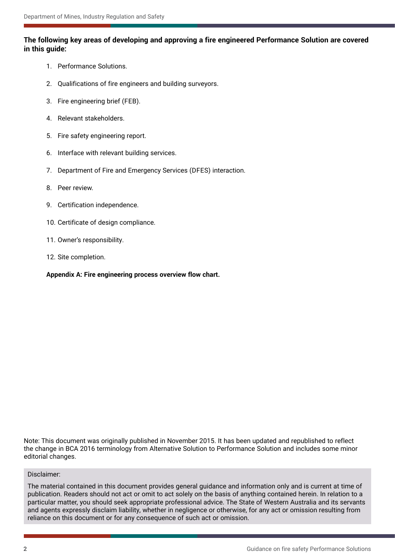#### **The following key areas of developing and approving a fire engineered Performance Solution are covered in this guide:**

- 1. Performance Solutions.
- 2. Qualifications of fire engineers and building surveyors.
- 3. Fire engineering brief (FEB).
- 4. Relevant stakeholders.
- 5. Fire safety engineering report.
- 6. Interface with relevant building services.
- 7. Department of Fire and Emergency Services (DFES) interaction.
- 8. Peer review.
- 9. Certification independence.
- 10. Certificate of design compliance.
- 11. Owner's responsibility.
- 12. Site completion.

**Appendix A: Fire engineering process overview flow chart.**

Note: This document was originally published in November 2015. It has been updated and republished to reflect the change in BCA 2016 terminology from Alternative Solution to Performance Solution and includes some minor editorial changes.

#### Disclaimer:

The material contained in this document provides general guidance and information only and is current at time of publication. Readers should not act or omit to act solely on the basis of anything contained herein. In relation to a particular matter, you should seek appropriate professional advice. The State of Western Australia and its servants and agents expressly disclaim liability, whether in negligence or otherwise, for any act or omission resulting from reliance on this document or for any consequence of such act or omission.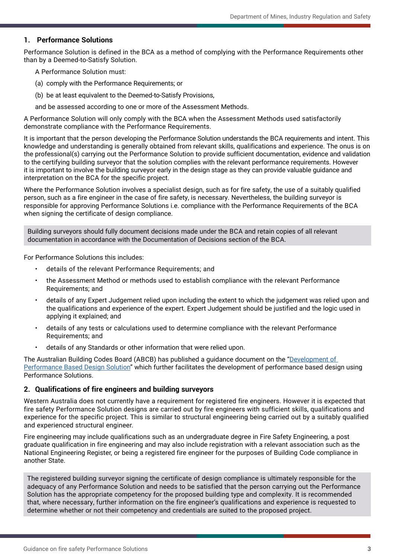#### **1. Performance Solutions**

Performance Solution is defined in the BCA as a method of complying with the Performance Requirements other than by a Deemed-to-Satisfy Solution.

A Performance Solution must:

- (a) comply with the Performance Requirements; or
- (b) be at least equivalent to the Deemed-to-Satisfy Provisions,

and be assessed according to one or more of the Assessment Methods.

A Performance Solution will only comply with the BCA when the Assessment Methods used satisfactorily demonstrate compliance with the Performance Requirements.

It is important that the person developing the Performance Solution understands the BCA requirements and intent. This knowledge and understanding is generally obtained from relevant skills, qualifications and experience. The onus is on the professional(s) carrying out the Performance Solution to provide sufficient documentation, evidence and validation to the certifying building surveyor that the solution complies with the relevant performance requirements. However it is important to involve the building surveyor early in the design stage as they can provide valuable guidance and interpretation on the BCA for the specific project.

Where the Performance Solution involves a specialist design, such as for fire safety, the use of a suitably qualified person, such as a fire engineer in the case of fire safety, is necessary. Nevertheless, the building surveyor is responsible for approving Performance Solutions i.e. compliance with the Performance Requirements of the BCA when signing the certificate of design compliance.

Building surveyors should fully document decisions made under the BCA and retain copies of all relevant documentation in accordance with the Documentation of Decisions section of the BCA.

For Performance Solutions this includes:

- details of the relevant Performance Requirements; and
- the Assessment Method or methods used to establish compliance with the relevant Performance Requirements; and
- details of any Expert Judgement relied upon including the extent to which the judgement was relied upon and the qualifications and experience of the expert. Expert Judgement should be justified and the logic used in applying it explained; and
- details of any tests or calculations used to determine compliance with the relevant Performance Requirements; and
- details of any Standards or other information that were relied upon.

The Australian Building Codes Board (ABCB) has published a guidance document on the "Development of [Performance Based Design Solution](https://www.abcb.gov.au/Resources/Publications/Education-Training/Development-of-Performance-Solutions)" which further facilitates the development of performance based design using Performance Solutions.

#### **2. Qualifications of fire engineers and building surveyors**

Western Australia does not currently have a requirement for registered fire engineers. However it is expected that fire safety Performance Solution designs are carried out by fire engineers with sufficient skills, qualifications and experience for the specific project. This is similar to structural engineering being carried out by a suitably qualified and experienced structural engineer.

Fire engineering may include qualifications such as an undergraduate degree in Fire Safety Engineering, a post graduate qualification in fire engineering and may also include registration with a relevant association such as the National Engineering Register, or being a registered fire engineer for the purposes of Building Code compliance in another State.

The registered building surveyor signing the certificate of design compliance is ultimately responsible for the adequacy of any Performance Solution and needs to be satisfied that the person carrying out the Performance Solution has the appropriate competency for the proposed building type and complexity. It is recommended that, where necessary, further information on the fire engineer's qualifications and experience is requested to determine whether or not their competency and credentials are suited to the proposed project.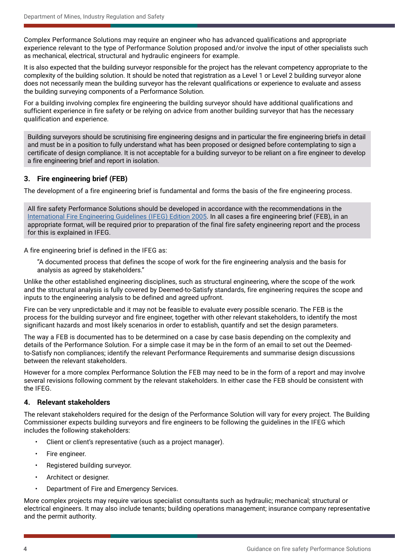Complex Performance Solutions may require an engineer who has advanced qualifications and appropriate experience relevant to the type of Performance Solution proposed and/or involve the input of other specialists such as mechanical, electrical, structural and hydraulic engineers for example.

It is also expected that the building surveyor responsible for the project has the relevant competency appropriate to the complexity of the building solution. It should be noted that registration as a Level 1 or Level 2 building surveyor alone does not necessarily mean the building surveyor has the relevant qualifications or experience to evaluate and assess the building surveying components of a Performance Solution.

For a building involving complex fire engineering the building surveyor should have additional qualifications and sufficient experience in fire safety or be relying on advice from another building surveyor that has the necessary qualification and experience.

Building surveyors should be scrutinising fire engineering designs and in particular the fire engineering briefs in detail and must be in a position to fully understand what has been proposed or designed before contemplating to sign a certificate of design compliance. It is not acceptable for a building surveyor to be reliant on a fire engineer to develop a fire engineering brief and report in isolation.

#### **3. Fire engineering brief (FEB)**

The development of a fire engineering brief is fundamental and forms the basis of the fire engineering process.

All fire safety Performance Solutions should be developed in accordance with the recommendations in the [International Fire Engineering Guidelines \(IFEG\) Edition 2005](https://www.abcb.gov.au/Resources/Publications/Education-Training/International-Fire-Engineering-Guidelines-2005). In all cases a fire engineering brief (FEB), in an appropriate format, will be required prior to preparation of the final fire safety engineering report and the process for this is explained in IFEG.

A fire engineering brief is defined in the IFEG as:

"A documented process that defines the scope of work for the fire engineering analysis and the basis for analysis as agreed by stakeholders."

Unlike the other established engineering disciplines, such as structural engineering, where the scope of the work and the structural analysis is fully covered by Deemed-to-Satisfy standards, fire engineering requires the scope and inputs to the engineering analysis to be defined and agreed upfront.

Fire can be very unpredictable and it may not be feasible to evaluate every possible scenario. The FEB is the process for the building surveyor and fire engineer, together with other relevant stakeholders, to identify the most significant hazards and most likely scenarios in order to establish, quantify and set the design parameters.

The way a FEB is documented has to be determined on a case by case basis depending on the complexity and details of the Performance Solution. For a simple case it may be in the form of an email to set out the Deemedto-Satisfy non compliances; identify the relevant Performance Requirements and summarise design discussions between the relevant stakeholders.

However for a more complex Performance Solution the FEB may need to be in the form of a report and may involve several revisions following comment by the relevant stakeholders. In either case the FEB should be consistent with the IFEG.

#### **4. Relevant stakeholders**

The relevant stakeholders required for the design of the Performance Solution will vary for every project. The Building Commissioner expects building surveyors and fire engineers to be following the guidelines in the IFEG which includes the following stakeholders:

- Client or client's representative (such as a project manager).
- Fire engineer.
- Registered building surveyor.
- Architect or designer.
- Department of Fire and Emergency Services.

More complex projects may require various specialist consultants such as hydraulic; mechanical; structural or electrical engineers. It may also include tenants; building operations management; insurance company representative and the permit authority.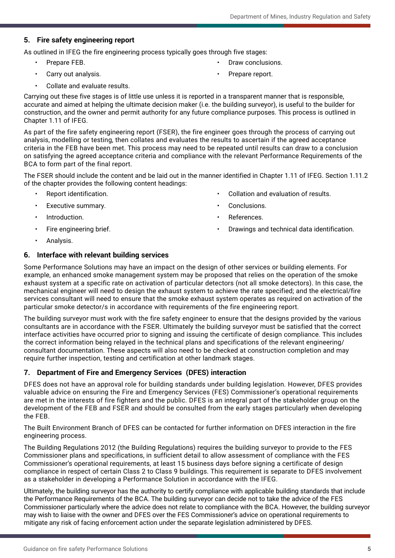#### **5. Fire safety engineering report**

As outlined in IFEG the fire engineering process typically goes through five stages:

- Prepare FEB.
- Carry out analysis.
- Draw conclusions.
- Prepare report.

Collate and evaluate results.

Carrying out these five stages is of little use unless it is reported in a transparent manner that is responsible, accurate and aimed at helping the ultimate decision maker (i.e. the building surveyor), is useful to the builder for construction, and the owner and permit authority for any future compliance purposes. This process is outlined in Chapter 1.11 of IFEG.

As part of the fire safety engineering report (FSER), the fire engineer goes through the process of carrying out analysis, modelling or testing, then collates and evaluates the results to ascertain if the agreed acceptance criteria in the FEB have been met. This process may need to be repeated until results can draw to a conclusion on satisfying the agreed acceptance criteria and compliance with the relevant Performance Requirements of the BCA to form part of the final report.

The FSER should include the content and be laid out in the manner identified in Chapter 1.11 of IFEG. Section 1.11.2 of the chapter provides the following content headings:

- Report identification.
- Executive summary.
- Introduction.
- Fire engineering brief.
- Collation and evaluation of results.
- Conclusions.
- References.
- Drawings and technical data identification.

• Analysis.

#### **6. Interface with relevant building services**

Some Performance Solutions may have an impact on the design of other services or building elements. For example, an enhanced smoke management system may be proposed that relies on the operation of the smoke exhaust system at a specific rate on activation of particular detectors (not all smoke detectors). In this case, the mechanical engineer will need to design the exhaust system to achieve the rate specified; and the electrical/fire services consultant will need to ensure that the smoke exhaust system operates as required on activation of the particular smoke detector/s in accordance with requirements of the fire engineering report.

The building surveyor must work with the fire safety engineer to ensure that the designs provided by the various consultants are in accordance with the FSER. Ultimately the building surveyor must be satisfied that the correct interface activities have occurred prior to signing and issuing the certificate of design compliance. This includes the correct information being relayed in the technical plans and specifications of the relevant engineering/ consultant documentation. These aspects will also need to be checked at construction completion and may require further inspection, testing and certification at other landmark stages.

#### **7. Department of Fire and Emergency Services (DFES) interaction**

DFES does not have an approval role for building standards under building legislation. However, DFES provides valuable advice on ensuring the Fire and Emergency Services (FES) Commissioner's operational requirements are met in the interests of fire fighters and the public. DFES is an integral part of the stakeholder group on the development of the FEB and FSER and should be consulted from the early stages particularly when developing the FEB.

The Built Environment Branch of DFES can be contacted for further information on DFES interaction in the fire engineering process.

The Building Regulations 2012 (the Building Regulations) requires the building surveyor to provide to the FES Commissioner plans and specifications, in sufficient detail to allow assessment of compliance with the FES Commissioner's operational requirements, at least 15 business days before signing a certificate of design compliance in respect of certain Class 2 to Class 9 buildings. This requirement is separate to DFES involvement as a stakeholder in developing a Performance Solution in accordance with the IFEG.

Ultimately, the building surveyor has the authority to certify compliance with applicable building standards that include the Performance Requirements of the BCA. The building surveyor can decide not to take the advice of the FES Commissioner particularly where the advice does not relate to compliance with the BCA. However, the building surveyor may wish to liaise with the owner and DFES over the FES Commissioner's advice on operational requirements to mitigate any risk of facing enforcement action under the separate legislation administered by DFES.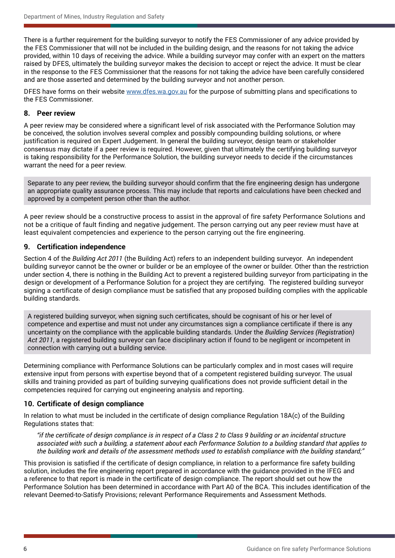There is a further requirement for the building surveyor to notify the FES Commissioner of any advice provided by the FES Commissioner that will not be included in the building design, and the reasons for not taking the advice provided, within 10 days of receiving the advice. While a building surveyor may confer with an expert on the matters raised by DFES, ultimately the building surveyor makes the decision to accept or reject the advice. It must be clear in the response to the FES Commissioner that the reasons for not taking the advice have been carefully considered and are those asserted and determined by the building surveyor and not another person.

DFES have forms on their website [www.dfes.wa.gov.au](http://www.dfes.wa.gov.au) for the purpose of submitting plans and specifications to the FES Commissioner.

#### **8. Peer review**

A peer review may be considered where a significant level of risk associated with the Performance Solution may be conceived, the solution involves several complex and possibly compounding building solutions, or where justification is required on Expert Judgement. In general the building surveyor, design team or stakeholder consensus may dictate if a peer review is required. However, given that ultimately the certifying building surveyor is taking responsibility for the Performance Solution, the building surveyor needs to decide if the circumstances warrant the need for a peer review.

Separate to any peer review, the building surveyor should confirm that the fire engineering design has undergone an appropriate quality assurance process. This may include that reports and calculations have been checked and approved by a competent person other than the author.

A peer review should be a constructive process to assist in the approval of fire safety Performance Solutions and not be a critique of fault finding and negative judgement. The person carrying out any peer review must have at least equivalent competencies and experience to the person carrying out the fire engineering.

#### **9. Certification independence**

Section 4 of the *Building Act 2011* (the Building Act) refers to an independent building surveyor. An independent building surveyor cannot be the owner or builder or be an employee of the owner or builder. Other than the restriction under section 4, there is nothing in the Building Act to prevent a registered building surveyor from participating in the design or development of a Performance Solution for a project they are certifying. The registered building surveyor signing a certificate of design compliance must be satisfied that any proposed building complies with the applicable building standards.

A registered building surveyor, when signing such certificates, should be cognisant of his or her level of competence and expertise and must not under any circumstances sign a compliance certificate if there is any uncertainty on the compliance with the applicable building standards. Under the *Building Services (Registration) Act 2011*, a registered building surveyor can face disciplinary action if found to be negligent or incompetent in connection with carrying out a building service.

Determining compliance with Performance Solutions can be particularly complex and in most cases will require extensive input from persons with expertise beyond that of a competent registered building surveyor. The usual skills and training provided as part of building surveying qualifications does not provide sufficient detail in the competencies required for carrying out engineering analysis and reporting.

#### **10. Certificate of design compliance**

In relation to what must be included in the certificate of design compliance Regulation 18A(c) of the Building Regulations states that:

*"if the certificate of design compliance is in respect of a Class 2 to Class 9 building or an incidental structure associated with such a building, a statement about each Performance Solution to a building standard that applies to the building work and details of the assessment methods used to establish compliance with the building standard;"*

This provision is satisfied if the certificate of design compliance, in relation to a performance fire safety building solution, includes the fire engineering report prepared in accordance with the guidance provided in the IFEG and a reference to that report is made in the certificate of design compliance. The report should set out how the Performance Solution has been determined in accordance with Part A0 of the BCA. This includes identification of the relevant Deemed-to-Satisfy Provisions; relevant Performance Requirements and Assessment Methods.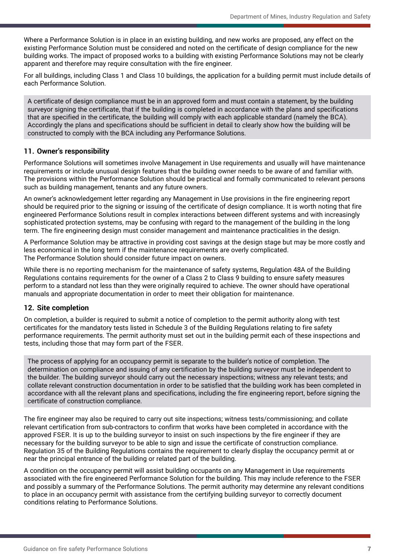Where a Performance Solution is in place in an existing building, and new works are proposed, any effect on the existing Performance Solution must be considered and noted on the certificate of design compliance for the new building works. The impact of proposed works to a building with existing Performance Solutions may not be clearly apparent and therefore may require consultation with the fire engineer.

For all buildings, including Class 1 and Class 10 buildings, the application for a building permit must include details of each Performance Solution.

A certificate of design compliance must be in an approved form and must contain a statement, by the building surveyor signing the certificate, that if the building is completed in accordance with the plans and specifications that are specified in the certificate, the building will comply with each applicable standard (namely the BCA). Accordingly the plans and specifications should be sufficient in detail to clearly show how the building will be constructed to comply with the BCA including any Performance Solutions.

#### **11. Owner's responsibility**

Performance Solutions will sometimes involve Management in Use requirements and usually will have maintenance requirements or include unusual design features that the building owner needs to be aware of and familiar with. The provisions within the Performance Solution should be practical and formally communicated to relevant persons such as building management, tenants and any future owners.

An owner's acknowledgement letter regarding any Management in Use provisions in the fire engineering report should be required prior to the signing or issuing of the certificate of design compliance. It is worth noting that fire engineered Performance Solutions result in complex interactions between different systems and with increasingly sophisticated protection systems, may be confusing with regard to the management of the building in the long term. The fire engineering design must consider management and maintenance practicalities in the design.

A Performance Solution may be attractive in providing cost savings at the design stage but may be more costly and less economical in the long term if the maintenance requirements are overly complicated. The Performance Solution should consider future impact on owners.

While there is no reporting mechanism for the maintenance of safety systems, Regulation 48A of the Building Regulations contains requirements for the owner of a Class 2 to Class 9 building to ensure safety measures perform to a standard not less than they were originally required to achieve. The owner should have operational manuals and appropriate documentation in order to meet their obligation for maintenance.

#### **12. Site completion**

On completion, a builder is required to submit a notice of completion to the permit authority along with test certificates for the mandatory tests listed in Schedule 3 of the Building Regulations relating to fire safety performance requirements. The permit authority must set out in the building permit each of these inspections and tests, including those that may form part of the FSER.

The process of applying for an occupancy permit is separate to the builder's notice of completion. The determination on compliance and issuing of any certification by the building surveyor must be independent to the builder. The building surveyor should carry out the necessary inspections; witness any relevant tests; and collate relevant construction documentation in order to be satisfied that the building work has been completed in accordance with all the relevant plans and specifications, including the fire engineering report, before signing the certificate of construction compliance.

The fire engineer may also be required to carry out site inspections; witness tests/commissioning; and collate relevant certification from sub-contractors to confirm that works have been completed in accordance with the approved FSER. It is up to the building surveyor to insist on such inspections by the fire engineer if they are necessary for the building surveyor to be able to sign and issue the certificate of construction compliance. Regulation 35 of the Building Regulations contains the requirement to clearly display the occupancy permit at or near the principal entrance of the building or related part of the building.

A condition on the occupancy permit will assist building occupants on any Management in Use requirements associated with the fire engineered Performance Solution for the building. This may include reference to the FSER and possibly a summary of the Performance Solutions. The permit authority may determine any relevant conditions to place in an occupancy permit with assistance from the certifying building surveyor to correctly document conditions relating to Performance Solutions.